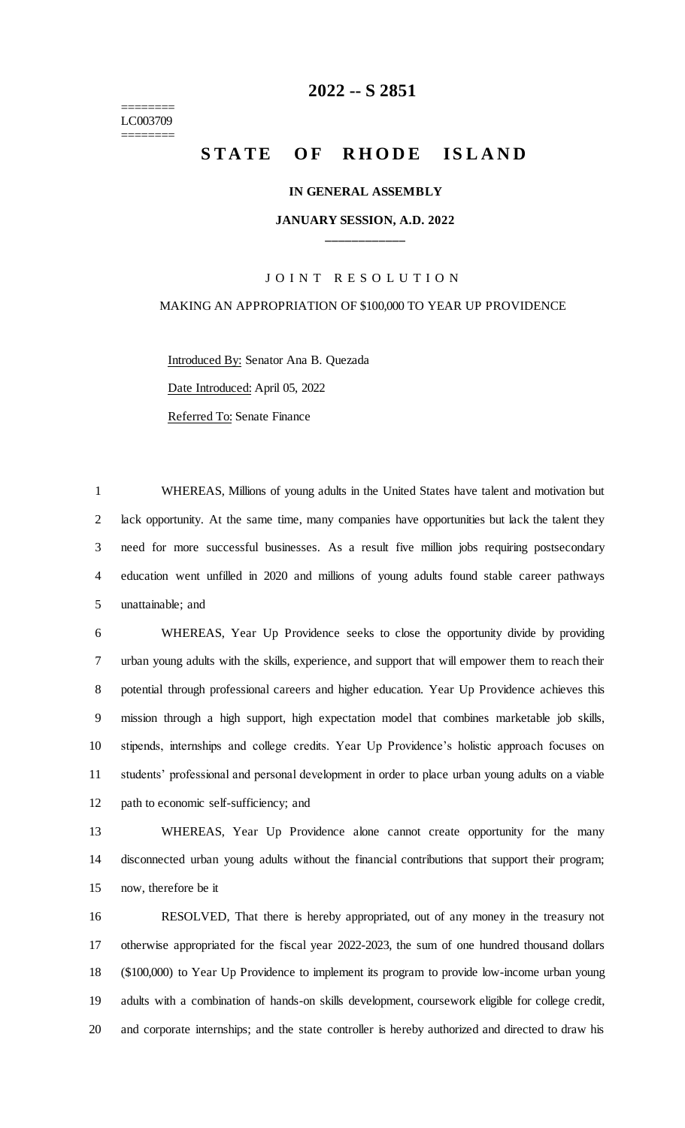======== LC003709 ========

## **-- S 2851**

# **STATE OF RHODE ISLAND**

#### **IN GENERAL ASSEMBLY**

### **JANUARY SESSION, A.D. 2022 \_\_\_\_\_\_\_\_\_\_\_\_**

#### JOINT RESOLUTION

#### MAKING AN APPROPRIATION OF \$100,000 TO YEAR UP PROVIDENCE

Introduced By: Senator Ana B. Quezada Date Introduced: April 05, 2022 Referred To: Senate Finance

 WHEREAS, Millions of young adults in the United States have talent and motivation but lack opportunity. At the same time, many companies have opportunities but lack the talent they need for more successful businesses. As a result five million jobs requiring postsecondary education went unfilled in 2020 and millions of young adults found stable career pathways unattainable; and

 WHEREAS, Year Up Providence seeks to close the opportunity divide by providing urban young adults with the skills, experience, and support that will empower them to reach their potential through professional careers and higher education. Year Up Providence achieves this mission through a high support, high expectation model that combines marketable job skills, stipends, internships and college credits. Year Up Providence's holistic approach focuses on students' professional and personal development in order to place urban young adults on a viable path to economic self-sufficiency; and

 WHEREAS, Year Up Providence alone cannot create opportunity for the many disconnected urban young adults without the financial contributions that support their program; now, therefore be it

 RESOLVED, That there is hereby appropriated, out of any money in the treasury not otherwise appropriated for the fiscal year 2022-2023, the sum of one hundred thousand dollars (\$100,000) to Year Up Providence to implement its program to provide low-income urban young adults with a combination of hands-on skills development, coursework eligible for college credit, and corporate internships; and the state controller is hereby authorized and directed to draw his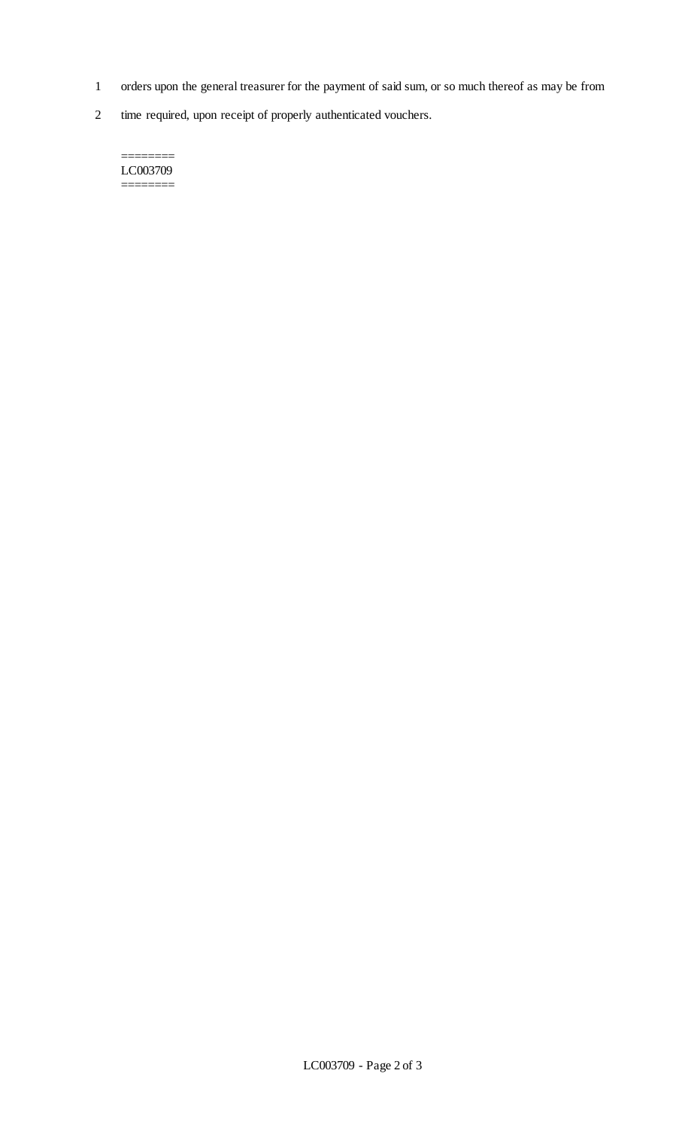- 1 orders upon the general treasurer for the payment of said sum, or so much thereof as may be from
- 2 time required, upon receipt of properly authenticated vouchers.

======== LC003709 ========